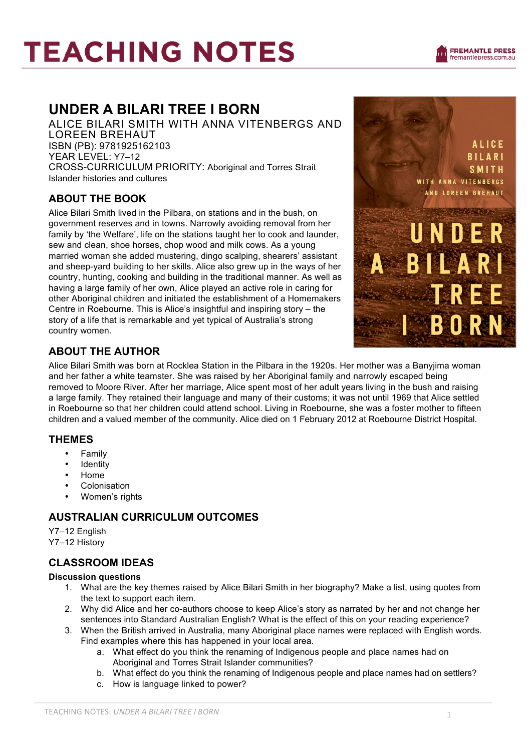# **TEACHING NOTES**



# **UNDER A BILARI TREE I BORN**

ALICE BILARI SMITH WITH ANNA VITENBERGS AND LOREEN BREHAUT ISBN (PB): 9781925162103 YEAR LEVEL: Y7–12 CROSS-CURRICULUM PRIORITY: Aboriginal and Torres Strait Islander histories and cultures

# **ABOUT THE BOOK**

Alice Bilari Smith lived in the Pilbara, on stations and in the bush, on government reserves and in towns. Narrowly avoiding removal from her family by 'the Welfare', life on the stations taught her to cook and launder, sew and clean, shoe horses, chop wood and milk cows. As a young married woman she added mustering, dingo scalping, shearers' assistant and sheep-yard building to her skills. Alice also grew up in the ways of her country, hunting, cooking and building in the traditional manner. As well as having a large family of her own, Alice played an active role in caring for other Aboriginal children and initiated the establishment of a Homemakers Centre in Roebourne. This is Alice's insightful and inspiring story – the story of a life that is remarkable and yet typical of Australia's strong country women.



# **ABOUT THE AUTHOR**

Alice Bilari Smith was born at Rocklea Station in the Pilbara in the 1920s. Her mother was a Banyjima woman and her father a white teamster. She was raised by her Aboriginal family and narrowly escaped being removed to Moore River. After her marriage, Alice spent most of her adult years living in the bush and raising a large family. They retained their language and many of their customs; it was not until 1969 that Alice settled in Roebourne so that her children could attend school. Living in Roebourne, she was a foster mother to fifteen children and a valued member of the community. Alice died on 1 February 2012 at Roebourne District Hospital.

### **THEMES**

- **Family**
- **Identity**
- Home
- Colonisation
- Women's rights

# **AUSTRALIAN CURRICULUM OUTCOMES**

Y7–12 English Y7–12 History

# **CLASSROOM IDEAS**

#### **Discussion questions**

- 1. What are the key themes raised by Alice Bilari Smith in her biography? Make a list, using quotes from the text to support each item.
- 2. Why did Alice and her co-authors choose to keep Alice's story as narrated by her and not change her sentences into Standard Australian English? What is the effect of this on your reading experience?
- 3. When the British arrived in Australia, many Aboriginal place names were replaced with English words. Find examples where this has happened in your local area.
	- a. What effect do you think the renaming of Indigenous people and place names had on Aboriginal and Torres Strait Islander communities?
	- b. What effect do you think the renaming of Indigenous people and place names had on settlers?
	- c. How is language linked to power?